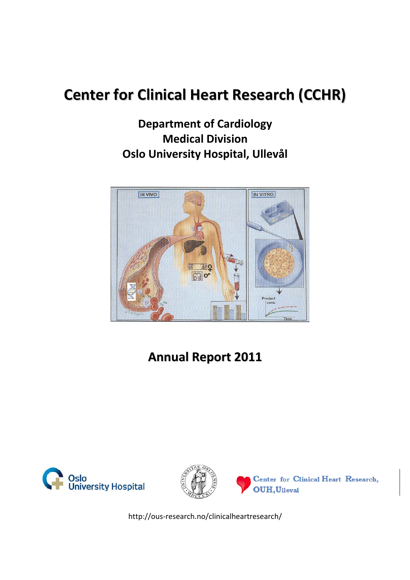# **Center for Clinical Heart Research (CCHR)**

**Department of Cardiology Medical Division Oslo University Hospital, Ullevål**



# **Annual Report 2011**





Center for Clinical Heart Research, OUH, Ulleval

http://ous‐research.no/clinicalheartresearch/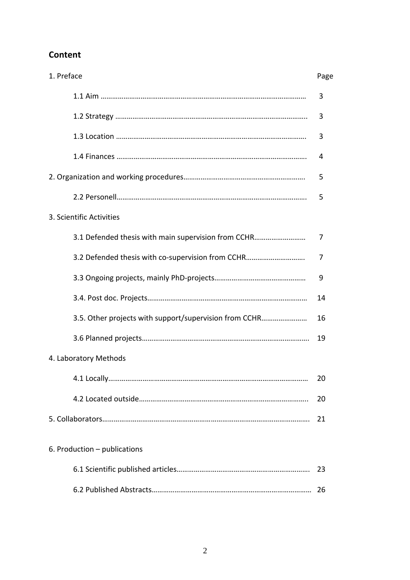# **Content**

| 1. Preface                                             | Page |
|--------------------------------------------------------|------|
|                                                        | 3    |
|                                                        | 3    |
|                                                        | 3    |
|                                                        | 4    |
|                                                        | 5    |
|                                                        | 5    |
| 3. Scientific Activities                               |      |
| 3.1 Defended thesis with main supervision from CCHR    | 7    |
| 3.2 Defended thesis with co-supervision from CCHR      | 7    |
|                                                        | 9    |
|                                                        | 14   |
| 3.5. Other projects with support/supervision from CCHR | 16   |
|                                                        | 19   |
| 4. Laboratory Methods                                  |      |
|                                                        | 20   |
|                                                        | 20   |
|                                                        | 21   |
| 6. Production - publications                           |      |
|                                                        | 23   |
|                                                        |      |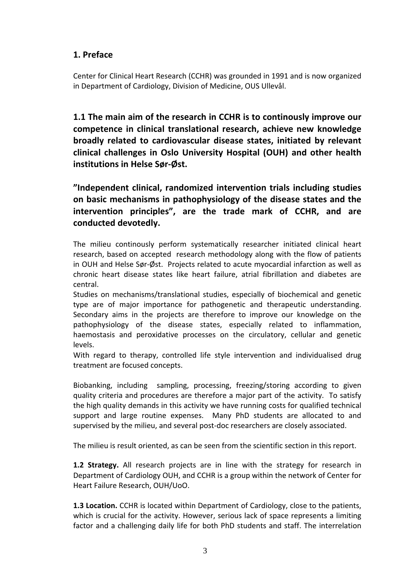# **1. Preface**

Center for Clinical Heart Research (CCHR) was grounded in 1991 and is now organized in Department of Cardiology, Division of Medicine, OUS Ullevål.

**1.1 The main aim of the research in CCHR is to continously improve our competence in clinical translational research, achieve new knowledge broadly related to cardiovascular disease states, initiated by relevant clinical challenges in Oslo University Hospital (OUH) and other health institutions in Helse Sør‐Øst.**

**"Independent clinical, randomized intervention trials including studies on basic mechanisms in pathophysiology of the disease states and the intervention principles", are the trade mark of CCHR, and are conducted devotedly.**

The milieu continously perform systematically researcher initiated clinical heart research, based on accepted research methodology along with the flow of patients in OUH and Helse Sør‐Øst. Projects related to acute myocardial infarction as well as chronic heart disease states like heart failure, atrial fibrillation and diabetes are central.

Studies on mechanisms/translational studies, especially of biochemical and genetic type are of major importance for pathogenetic and therapeutic understanding. Secondary aims in the projects are therefore to improve our knowledge on the pathophysiology of the disease states, especially related to inflammation, haemostasis and peroxidative processes on the circulatory, cellular and genetic levels.

With regard to therapy, controlled life style intervention and individualised drug treatment are focused concepts.

Biobanking, including sampling, processing, freezing/storing according to given quality criteria and procedures are therefore a major part of the activity. To satisfy the high quality demands in this activity we have running costs for qualified technical support and large routine expenses. Many PhD students are allocated to and supervised by the milieu, and several post-doc researchers are closely associated.

The milieu is result oriented, as can be seen from the scientific section in this report.

**1.2 Strategy.** All research projects are in line with the strategy for research in Department of Cardiology OUH, and CCHR is a group within the network of Center for Heart Failure Research, OUH/UoO.

**1.3 Location.** CCHR is located within Department of Cardiology, close to the patients, which is crucial for the activity. However, serious lack of space represents a limiting factor and a challenging daily life for both PhD students and staff. The interrelation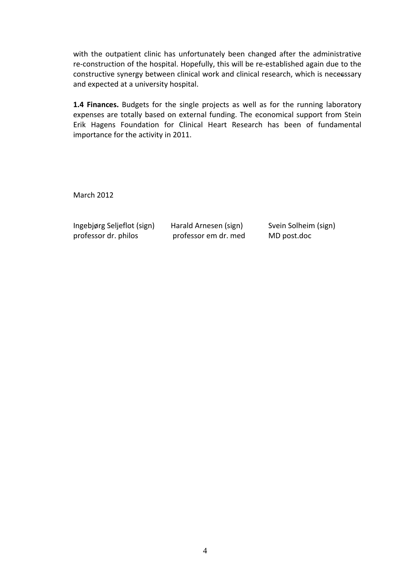with the outpatient clinic has unfortunately been changed after the administrative re-construction of the hospital. Hopefully, this will be re-established again due to the constructive synergy between clinical work and clinical research, which is nececssary and expected at a university hospital.

**1.4 Finances.** Budgets for the single projects as well as for the running laboratory expenses are totally based on external funding. The economical support from Stein Erik Hagens Foundation for Clinical Heart Research has been of fundamental importance for the activity in 2011.

March 2012

Ingebjørg Seljeflot (sign) Harald Arnesen (sign) Svein Solheim (sign) professor dr. philos professor em dr. med MD post.doc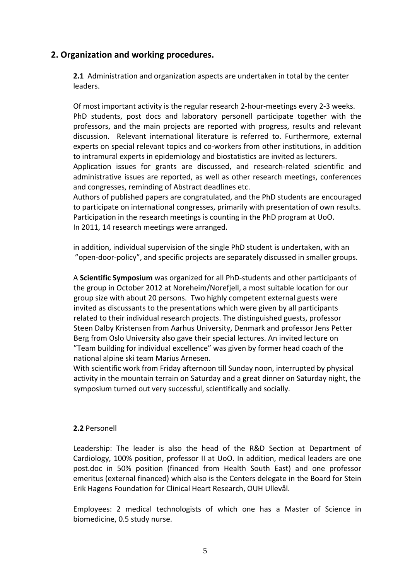# **2. Organization and working procedures.**

**2.1** Administration and organization aspects are undertaken in total by the center leaders.

Of most important activity is the regular research 2‐hour‐meetings every 2‐3 weeks. PhD students, post docs and laboratory personell participate together with the professors, and the main projects are reported with progress, results and relevant discussion. Relevant international literature is referred to. Furthermore, external experts on special relevant topics and co-workers from other institutions, in addition to intramural experts in epidemiology and biostatistics are invited as lecturers. Application issues for grants are discussed, and research-related scientific and

administrative issues are reported, as well as other research meetings, conferences and congresses, reminding of Abstract deadlines etc.

Authors of published papers are congratulated, and the PhD students are encouraged to participate on international congresses, primarily with presentation of own results. Participation in the research meetings is counting in the PhD program at UoO. In 2011, 14 research meetings were arranged.

in addition, individual supervision of the single PhD student is undertaken, with an "open‐door‐policy", and specific projects are separately discussed in smaller groups.

A **Scientific Symposium** was organized for all PhD‐students and other participants of the group in October 2012 at Noreheim/Norefjell, a most suitable location for our group size with about 20 persons. Two highly competent external guests were invited as discussants to the presentations which were given by all participants related to their individual research projects. The distinguished guests, professor Steen Dalby Kristensen from Aarhus University, Denmark and professor Jens Petter Berg from Oslo University also gave their special lectures. An invited lecture on "Team building for individual excellence" was given by former head coach of the national alpine ski team Marius Arnesen.

With scientific work from Friday afternoon till Sunday noon, interrupted by physical activity in the mountain terrain on Saturday and a great dinner on Saturday night, the symposium turned out very successful, scientifically and socially.

## **2.2** Personell

Leadership: The leader is also the head of the R&D Section at Department of Cardiology, 100% position, professor II at UoO. In addition, medical leaders are one post.doc in 50% position (financed from Health South East) and one professor emeritus (external financed) which also is the Centers delegate in the Board for Stein Erik Hagens Foundation for Clinical Heart Research, OUH Ullevål.

Employees: 2 medical technologists of which one has a Master of Science in biomedicine, 0.5 study nurse.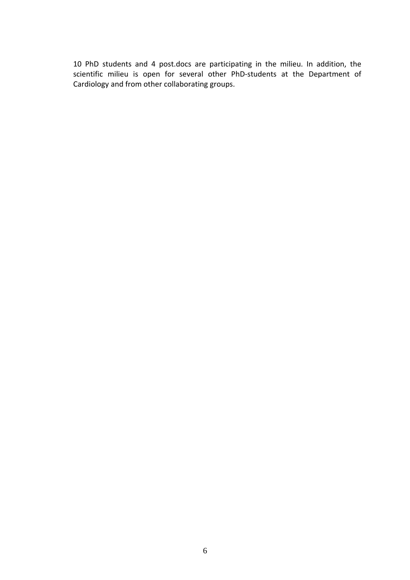10 PhD students and 4 post.docs are participating in the milieu. In addition, the scientific milieu is open for several other PhD‐students at the Department of Cardiology and from other collaborating groups.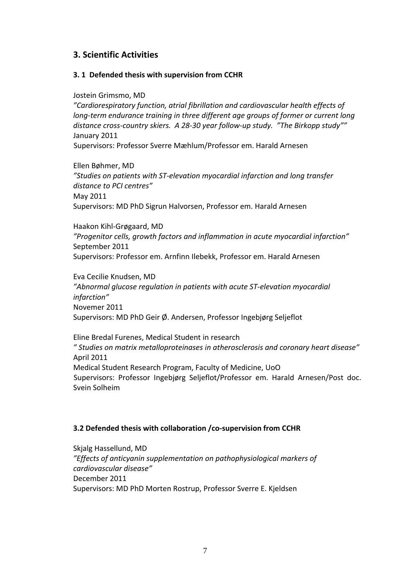# **3. Scientific Activities**

#### **3. 1 Defended thesis with supervision from CCHR**

Jostein Grimsmo, MD

*"Cardiorespiratory function, atrial fibrillation and cardiovascular health effects of long‐term endurance training in three different age groups of former or current long distance cross‐country skiers. A 28‐30 year follow‐up study. "The Birkopp study""* January 2011

Supervisors: Professor Sverre Mæhlum/Professor em. Harald Arnesen

Ellen Bøhmer, MD *"Studies on patients with ST‐elevation myocardial infarction and long transfer distance to PCI centres"* May 2011 Supervisors: MD PhD Sigrun Halvorsen, Professor em. Harald Arnesen

Haakon Kihl‐Grøgaard, MD *"Progenitor cells, growth factors and inflammation in acute myocardial infarction"* September 2011 Supervisors: Professor em. Arnfinn Ilebekk, Professor em. Harald Arnesen

Eva Cecilie Knudsen, MD *"Abnormal glucose regulation in patients with acute ST‐elevation myocardial infarction"* Novemer 2011 Supervisors: MD PhD Geir Ø. Andersen, Professor Ingebjørg Seljeflot

Eline Bredal Furenes, Medical Student in research *" Studies on matrix metalloproteinases in atherosclerosis and coronary heart disease"* April 2011 Medical Student Research Program, Faculty of Medicine, UoO Supervisors: Professor Ingebjørg Seljeflot/Professor em. Harald Arnesen/Post doc. Svein Solheim

## **3.2 Defended thesis with collaboration /co‐supervision from CCHR**

Skjalg Hassellund, MD *"Effects of anticyanin supplementation on pathophysiological markers of cardiovascular disease"* December 2011 Supervisors: MD PhD Morten Rostrup, Professor Sverre E. Kjeldsen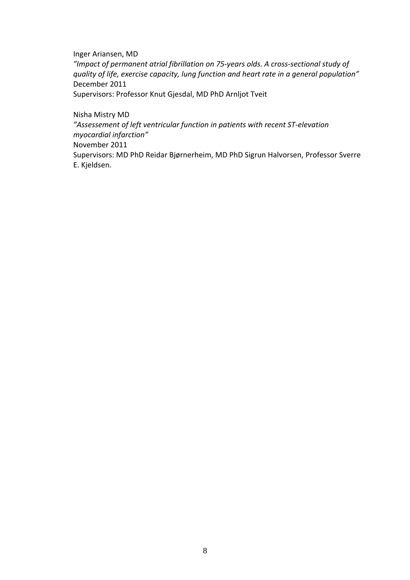Inger Ariansen, MD *"Impact of permanent atrial fibrillation on 75‐years olds. A cross‐sectional study of quality of life, exercise capacity, lung function and heart rate in a general population"* December 2011

Supervisors: Professor Knut Gjesdal, MD PhD Arnljot Tveit

Nisha Mistry MD

*"Assessement of left ventricular function in patients with recent ST‐elevation myocardial infarction"*

November 2011

Supervisors: MD PhD Reidar Bjørnerheim, MD PhD Sigrun Halvorsen, Professor Sverre E. Kjeldsen.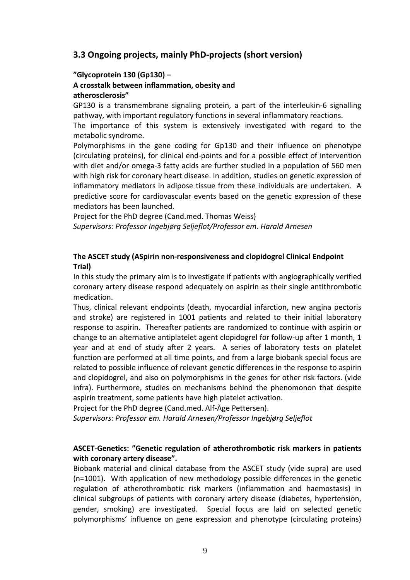# **3.3 Ongoing projects, mainly PhD‐projects (short version)**

#### **"Glycoprotein 130 (Gp130) –**

#### **A crosstalk between inflammation, obesity and atherosclerosis"**

GP130 is a transmembrane signaling protein, a part of the interleukin‐6 signalling pathway, with important regulatory functions in several inflammatory reactions.

The importance of this system is extensively investigated with regard to the metabolic syndrome.

Polymorphisms in the gene coding for Gp130 and their influence on phenotype (circulating proteins), for clinical end‐points and for a possible effect of intervention with diet and/or omega-3 fatty acids are further studied in a population of 560 men with high risk for coronary heart disease. In addition, studies on genetic expression of inflammatory mediators in adipose tissue from these individuals are undertaken. A predictive score for cardiovascular events based on the genetic expression of these mediators has been launched.

Project for the PhD degree (Cand.med. Thomas Weiss) *Supervisors: Professor Ingebjørg Seljeflot/Professor em. Harald Arnesen*

## **The ASCET study (ASpirin non‐responsiveness and clopidogrel Clinical Endpoint Trial)**

In this study the primary aim is to investigate if patients with angiographically verified coronary artery disease respond adequately on aspirin as their single antithrombotic medication.

Thus, clinical relevant endpoints (death, myocardial infarction, new angina pectoris and stroke) are registered in 1001 patients and related to their initial laboratory response to aspirin. Thereafter patients are randomized to continue with aspirin or change to an alternative antiplatelet agent clopidogrel for follow-up after 1 month, 1 year and at end of study after 2 years. A series of laboratory tests on platelet function are performed at all time points, and from a large biobank special focus are related to possible influence of relevant genetic differences in the response to aspirin and clopidogrel, and also on polymorphisms in the genes for other risk factors. (vide infra). Furthermore, studies on mechanisms behind the phenomonon that despite aspirin treatment, some patients have high platelet activation.

Project for the PhD degree (Cand.med. Alf‐Åge Pettersen).

*Supervisors: Professor em. Harald Arnesen/Professor Ingebjørg Seljeflot*

## **ASCET‐Genetics: "Genetic regulation of atherothrombotic risk markers in patients with coronary artery disease".**

Biobank material and clinical database from the ASCET study (vide supra) are used (n=1001). With application of new methodology possible differences in the genetic regulation of atherothrombotic risk markers (inflammation and haemostasis) in clinical subgroups of patients with coronary artery disease (diabetes, hypertension, gender, smoking) are investigated. Special focus are laid on selected genetic polymorphisms' influence on gene expression and phenotype (circulating proteins)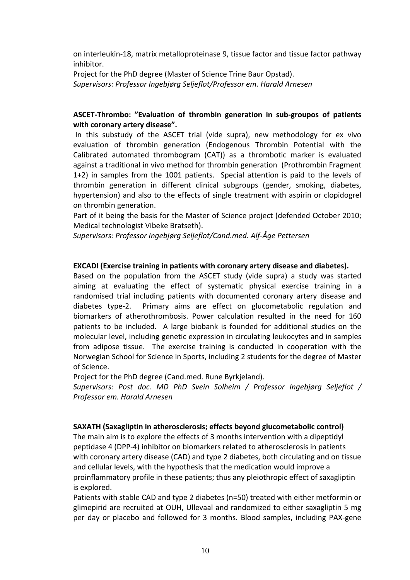on interleukin‐18, matrix metalloproteinase 9, tissue factor and tissue factor pathway inhibitor.

Project for the PhD degree (Master of Science Trine Baur Opstad). *Supervisors: Professor Ingebjørg Seljeflot/Professor em. Harald Arnesen*

## **ASCET‐Thrombo: "Evaluation of thrombin generation in sub‐groupos of patients with coronary artery disease".**

In this substudy of the ASCET trial (vide supra), new methodology for ex vivo evaluation of thrombin generation (Endogenous Thrombin Potential with the Calibrated automated thrombogram (CAT)) as a thrombotic marker is evaluated against a traditional in vivo method for thrombin generation (Prothrombin Fragment 1+2) in samples from the 1001 patients. Special attention is paid to the levels of thrombin generation in different clinical subgroups (gender, smoking, diabetes, hypertension) and also to the effects of single treatment with aspirin or clopidogrel on thrombin generation.

Part of it being the basis for the Master of Science project (defended October 2010; Medical technologist Vibeke Bratseth).

*Supervisors: Professor Ingebjørg Seljeflot/Cand.med. Alf‐Åge Pettersen*

#### **EXCADI (Exercise training in patients with coronary artery disease and diabetes).**

Based on the population from the ASCET study (vide supra) a study was started aiming at evaluating the effect of systematic physical exercise training in a randomised trial including patients with documented coronary artery disease and diabetes type-2. Primary aims are effect on glucometabolic regulation and biomarkers of atherothrombosis. Power calculation resulted in the need for 160 patients to be included. A large biobank is founded for additional studies on the molecular level, including genetic expression in circulating leukocytes and in samples from adipose tissue. The exercise training is conducted in cooperation with the Norwegian School for Science in Sports, including 2 students for the degree of Master of Science.

Project for the PhD degree (Cand.med. Rune Byrkjeland).

*Supervisors: Post doc. MD PhD Svein Solheim / Professor Ingebjørg Seljeflot / Professor em. Harald Arnesen*

#### **SAXATH (Saxagliptin in atherosclerosis; effects beyond glucometabolic control)**

The main aim is to explore the effects of 3 months intervention with a dipeptidyl peptidase 4 (DPP‐4) inhibitor on biomarkers related to atherosclerosis in patients with coronary artery disease (CAD) and type 2 diabetes, both circulating and on tissue and cellular levels, with the hypothesis that the medication would improve a proinflammatory profile in these patients; thus any pleiothropic effect of saxagliptin is explored.

Patients with stable CAD and type 2 diabetes (n=50) treated with either metformin or glimepirid are recruited at OUH, Ullevaal and randomized to either saxagliptin 5 mg per day or placebo and followed for 3 months. Blood samples, including PAX‐gene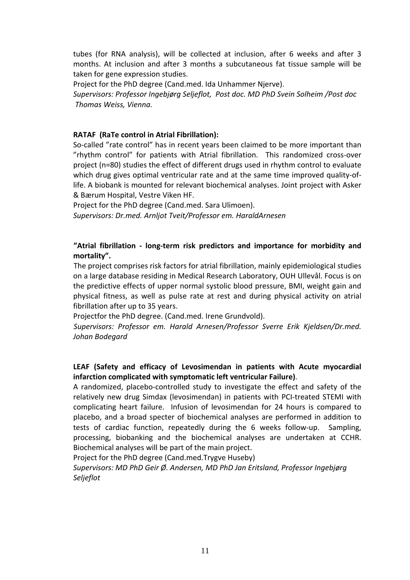tubes (for RNA analysis), will be collected at inclusion, after 6 weeks and after 3 months. At inclusion and after 3 months a subcutaneous fat tissue sample will be taken for gene expression studies.

Project for the PhD degree (Cand.med. Ida Unhammer Njerve).

*Supervisors: Professor Ingebjørg Seljeflot, Post doc. MD PhD Svein Solheim /Post doc Thomas Weiss, Vienna.*

## **RATAF (RaTe control in Atrial Fibrillation):**

So-called "rate control" has in recent years been claimed to be more important than "rhythm control" for patients with Atrial fibrillation. This randomized cross‐over project (n=80) studies the effect of different drugs used in rhythm control to evaluate which drug gives optimal ventricular rate and at the same time improved quality-oflife. A biobank is mounted for relevant biochemical analyses. Joint project with Asker & Bærum Hospital, Vestre Viken HF.

Project for the PhD degree (Cand.med. Sara Ulimoen). *Supervisors: Dr.med. Arnljot Tveit/Professor em. HaraldArnesen* 

## **"Atrial fibrillation ‐ long‐term risk predictors and importance for morbidity and mortality".**

The project comprises risk factors for atrial fibrillation, mainly epidemiological studies on a large database residing in Medical Research Laboratory, OUH Ullevål. Focus is on the predictive effects of upper normal systolic blood pressure, BMI, weight gain and physical fitness, as well as pulse rate at rest and during physical activity on atrial fibrillation after up to 35 years.

Projectfor the PhD degree. (Cand.med. Irene Grundvold).

*Supervisors: Professor em. Harald Arnesen/Professor Sverre Erik Kjeldsen/Dr.med. Johan Bodegard*

## **LEAF (Safety and efficacy of Levosimendan in patients with Acute myocardial infarction complicated with symptomatic left ventricular Failure)**.

A randomized, placebo‐controlled study to investigate the effect and safety of the relatively new drug Simdax (levosimendan) in patients with PCI‐treated STEMI with complicating heart failure. Infusion of levosimendan for 24 hours is compared to placebo, and a broad specter of biochemical analyses are performed in addition to tests of cardiac function, repeatedly during the 6 weeks follow-up. Sampling, processing, biobanking and the biochemical analyses are undertaken at CCHR. Biochemical analyses will be part of the main project.

Project for the PhD degree (Cand.med.Trygve Huseby)

*Supervisors: MD PhD Geir Ø. Andersen, MD PhD Jan Eritsland, Professor Ingebjørg Seljeflot*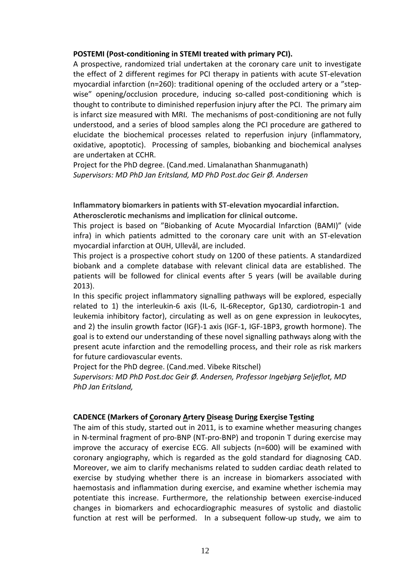#### **POSTEMI (Post‐conditioning in STEMI treated with primary PCI).**

A prospective, randomized trial undertaken at the coronary care unit to investigate the effect of 2 different regimes for PCI therapy in patients with acute ST‐elevation myocardial infarction (n=260): traditional opening of the occluded artery or a "step‐ wise" opening/occlusion procedure, inducing so-called post-conditioning which is thought to contribute to diminished reperfusion injury after the PCI. The primary aim is infarct size measured with MRI. The mechanisms of post-conditioning are not fully understood, and a series of blood samples along the PCI procedure are gathered to elucidate the biochemical processes related to reperfusion injury (inflammatory, oxidative, apoptotic). Processing of samples, biobanking and biochemical analyses are undertaken at CCHR.

Project for the PhD degree. (Cand.med. Limalanathan Shanmuganath) *Supervisors: MD PhD Jan Eritsland, MD PhD Post.doc Geir Ø. Andersen*

**Inflammatory biomarkers in patients with ST‐elevation myocardial infarction. Atherosclerotic mechanisms and implication for clinical outcome.** 

This project is based on "Biobanking of Acute Myocardial Infarction (BAMI)" (vide infra) in which patients admitted to the coronary care unit with an ST‐elevation myocardial infarction at OUH, Ullevål, are included.

This project is a prospective cohort study on 1200 of these patients. A standardized biobank and a complete database with relevant clinical data are established. The patients will be followed for clinical events after 5 years (will be available during 2013).

In this specific project inflammatory signalling pathways will be explored, especially related to 1) the interleukin‐6 axis (IL‐6, IL‐6Receptor, Gp130, cardiotropin‐1 and leukemia inhibitory factor), circulating as well as on gene expression in leukocytes, and 2) the insulin growth factor (IGF)‐1 axis (IGF‐1, IGF‐1BP3, growth hormone). The goal is to extend our understanding of these novel signalling pathways along with the present acute infarction and the remodelling process, and their role as risk markers for future cardiovascular events.

Project for the PhD degree. (Cand.med. Vibeke Ritschel)

*Supervisors: MD PhD Post.doc Geir Ø. Andersen, Professor Ingebjørg Seljeflot, MD PhD Jan Eritsland,*

#### **CADENCE (Markers of Coronary Artery Disease During Exercise Testing**

The aim of this study, started out in 2011, is to examine whether measuring changes in N-terminal fragment of pro-BNP (NT-pro-BNP) and troponin T during exercise may improve the accuracy of exercise ECG. All subjects (n=600) will be examined with coronary angiography, which is regarded as the gold standard for diagnosing CAD. Moreover, we aim to clarify mechanisms related to sudden cardiac death related to exercise by studying whether there is an increase in biomarkers associated with haemostasis and inflammation during exercise, and examine whether ischemia may potentiate this increase. Furthermore, the relationship between exercise-induced changes in biomarkers and echocardiographic measures of systolic and diastolic function at rest will be performed. In a subsequent follow-up study, we aim to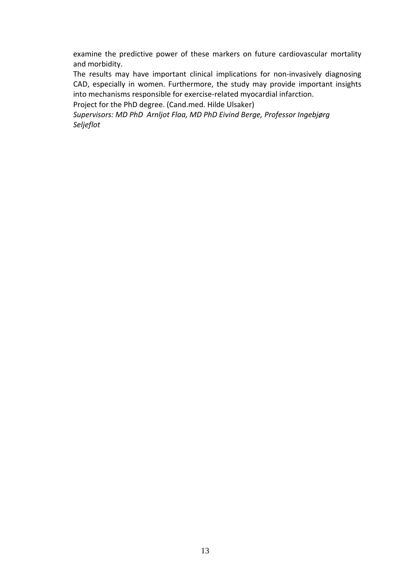examine the predictive power of these markers on future cardiovascular mortality and morbidity.

The results may have important clinical implications for non-invasively diagnosing CAD, especially in women. Furthermore, the study may provide important insights into mechanisms responsible for exercise‐related myocardial infarction.

Project for the PhD degree. (Cand.med. Hilde Ulsaker)

*Supervisors: MD PhD Arnljot Flaa, MD PhD Eivind Berge, Professor Ingebjørg Seljeflot*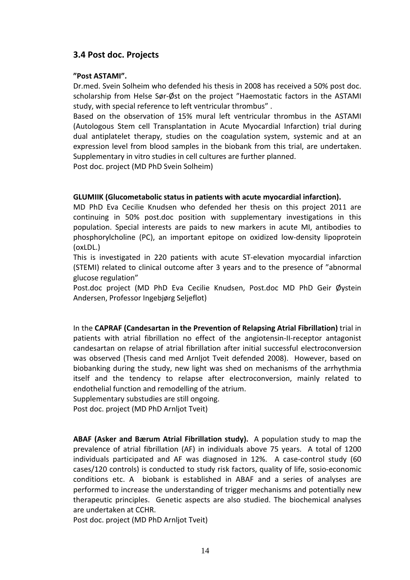# **3.4 Post doc. Projects**

#### **"Post ASTAMI".**

Dr.med. Svein Solheim who defended his thesis in 2008 has received a 50% post doc. scholarship from Helse Sør-Øst on the project "Haemostatic factors in the ASTAMI study, with special reference to left ventricular thrombus" .

Based on the observation of 15% mural left ventricular thrombus in the ASTAMI (Autologous Stem cell Transplantation in Acute Myocardial Infarction) trial during dual antiplatelet therapy, studies on the coagulation system, systemic and at an expression level from blood samples in the biobank from this trial, are undertaken. Supplementary in vitro studies in cell cultures are further planned.

Post doc. project (MD PhD Svein Solheim)

#### **GLUMIIK (Glucometabolic status in patients with acute myocardial infarction).**

MD PhD Eva Cecilie Knudsen who defended her thesis on this project 2011 are continuing in 50% post.doc position with supplementary investigations in this population. Special interests are paids to new markers in acute MI, antibodies to phosphorylcholine (PC), an important epitope on oxidized low‐density lipoprotein (oxLDL.)

This is investigated in 220 patients with acute ST-elevation myocardial infarction (STEMI) related to clinical outcome after 3 years and to the presence of "abnormal glucose regulation"

Post.doc project (MD PhD Eva Cecilie Knudsen, Post.doc MD PhD Geir Øystein Andersen, Professor Ingebjørg Seljeflot)

In the **CAPRAF (Candesartan in the Prevention of Relapsing Atrial Fibrillation)** trial in patients with atrial fibrillation no effect of the angiotensin‐II‐receptor antagonist candesartan on relapse of atrial fibrillation after initial successful electroconversion was observed (Thesis cand med Arnljot Tveit defended 2008). However, based on biobanking during the study, new light was shed on mechanisms of the arrhythmia itself and the tendency to relapse after electroconversion, mainly related to endothelial function and remodelling of the atrium.

Supplementary substudies are still ongoing.

Post doc. project (MD PhD Arnljot Tveit)

**ABAF (Asker and Bærum Atrial Fibrillation study).** A population study to map the prevalence of atrial fibrillation (AF) in individuals above 75 years. A total of 1200 individuals participated and AF was diagnosed in 12%. A case-control study (60 cases/120 controls) is conducted to study risk factors, quality of life, sosio‐economic conditions etc. A biobank is established in ABAF and a series of analyses are performed to increase the understanding of trigger mechanisms and potentially new therapeutic principles. Genetic aspects are also studied. The biochemical analyses are undertaken at CCHR.

Post doc. project (MD PhD Arnljot Tveit)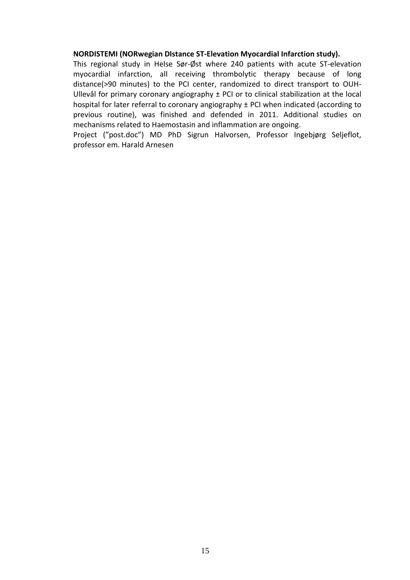#### **NORDISTEMI (NORwegian DIstance ST‐Elevation Myocardial Infarction study).**

This regional study in Helse Sør‐Øst where 240 patients with acute ST‐elevation myocardial infarction, all receiving thrombolytic therapy because of long distance(>90 minutes) to the PCI center, randomized to direct transport to OUH‐ Ullevål for primary coronary angiography  $\pm$  PCI or to clinical stabilization at the local hospital for later referral to coronary angiography ± PCI when indicated (according to previous routine), was finished and defended in 2011. Additional studies on mechanisms related to Haemostasin and inflammation are ongoing.

Project ("post.doc") MD PhD Sigrun Halvorsen, Professor Ingebjørg Seljeflot, professor em. Harald Arnesen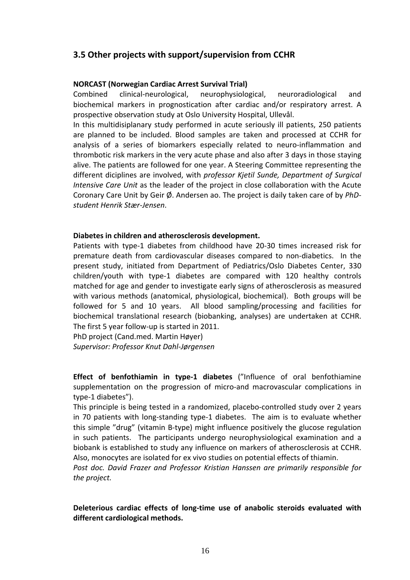# **3.5 Other projects with support/supervision from CCHR**

#### **NORCAST (Norwegian Cardiac Arrest Survival Trial)**

Combined clinical‐neurological, neurophysiological, neuroradiological and biochemical markers in prognostication after cardiac and/or respiratory arrest. A prospective observation study at Oslo University Hospital, Ullevål.

In this multidisiplanary study performed in acute seriously ill patients, 250 patients are planned to be included. Blood samples are taken and processed at CCHR for analysis of a series of biomarkers especially related to neuro-inflammation and thrombotic risk markers in the very acute phase and also after 3 days in those staying alive. The patients are followed for one year. A Steering Committee representing the different diciplines are involved, with *professor Kjetil Sunde, Department of Surgical Intensive Care Unit* as the leader of the project in close collaboration with the Acute Coronary Care Unit by Geir Ø. Andersen ao. The project is daily taken care of by *PhD‐ student Henrik Stær‐Jensen*.

#### **Diabetes in children and atherosclerosis development.**

Patients with type‐1 diabetes from childhood have 20‐30 times increased risk for premature death from cardiovascular diseases compared to non‐diabetics. In the present study, initiated from Department of Pediatrics/Oslo Diabetes Center, 330 children/youth with type‐1 diabetes are compared with 120 healthy controls matched for age and gender to investigate early signs of atherosclerosis as measured with various methods (anatomical, physiological, biochemical). Both groups will be followed for 5 and 10 years. All blood sampling/processing and facilities for biochemical translational research (biobanking, analyses) are undertaken at CCHR. The first 5 year follow‐up is started in 2011.

PhD project (Cand.med. Martin Høyer)

*Supervisor: Professor Knut Dahl‐Jørgensen*

**Effect of benfothiamin in type‐1 diabetes** ("Influence of oral benfothiamine supplementation on the progression of micro-and macrovascular complications in type‐1 diabetes").

This principle is being tested in a randomized, placebo‐controlled study over 2 years in 70 patients with long-standing type-1 diabetes. The aim is to evaluate whether this simple "drug" (vitamin B‐type) might influence positively the glucose regulation in such patients. The participants undergo neurophysiological examination and a biobank is established to study any influence on markers of atherosclerosis at CCHR. Also, monocytes are isolated for ex vivo studies on potential effects of thiamin.

*Post doc. David Frazer and Professor Kristian Hanssen are primarily responsible for the project.*

**Deleterious cardiac effects of long‐time use of anabolic steroids evaluated with different cardiological methods.**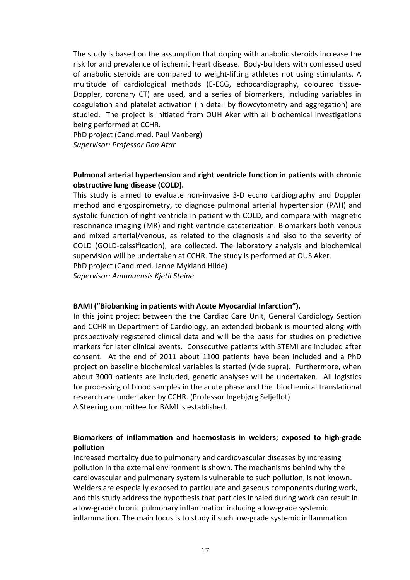The study is based on the assumption that doping with anabolic steroids increase the risk for and prevalence of ischemic heart disease. Body‐builders with confessed used of anabolic steroids are compared to weight‐lifting athletes not using stimulants. A multitude of cardiological methods (E‐ECG, echocardiography, coloured tissue‐ Doppler, coronary CT) are used, and a series of biomarkers, including variables in coagulation and platelet activation (in detail by flowcytometry and aggregation) are studied. The project is initiated from OUH Aker with all biochemical investigations being performed at CCHR.

PhD project (Cand.med. Paul Vanberg) *Supervisor: Professor Dan Atar*

## **Pulmonal arterial hypertension and right ventricle function in patients with chronic obstructive lung disease (COLD).**

This study is aimed to evaluate non‐invasive 3‐D eccho cardiography and Doppler method and ergospirometry, to diagnose pulmonal arterial hypertension (PAH) and systolic function of right ventricle in patient with COLD, and compare with magnetic resonnance imaging (MR) and right ventricle cateterization. Biomarkers both venous and mixed arterial/venous, as related to the diagnosis and also to the severity of COLD (GOLD‐calssification), are collected. The laboratory analysis and biochemical supervision will be undertaken at CCHR. The study is performed at OUS Aker. PhD project (Cand.med. Janne Mykland Hilde)

*Supervisor: Amanuensis Kjetil Steine*

#### **BAMI ("Biobanking in patients with Acute Myocardial Infarction").**

In this joint project between the the Cardiac Care Unit, General Cardiology Section and CCHR in Department of Cardiology, an extended biobank is mounted along with prospectively registered clinical data and will be the basis for studies on predictive markers for later clinical events. Consecutive patients with STEMI are included after consent. At the end of 2011 about 1100 patients have been included and a PhD project on baseline biochemical variables is started (vide supra). Furthermore, when about 3000 patients are included, genetic analyses will be undertaken. All logistics for processing of blood samples in the acute phase and the biochemical translational research are undertaken by CCHR. (Professor Ingebjørg Seljeflot)

A Steering committee for BAMI is established.

## **Biomarkers of inflammation and haemostasis in welders; exposed to high‐grade pollution**

Increased mortality due to pulmonary and cardiovascular diseases by increasing pollution in the external environment is shown. The mechanisms behind why the cardiovascular and pulmonary system is vulnerable to such pollution, is not known. Welders are especially exposed to particulate and gaseous components during work, and this study address the hypothesis that particles inhaled during work can result in a low‐grade chronic pulmonary inflammation inducing a low‐grade systemic inflammation. The main focus is to study if such low‐grade systemic inflammation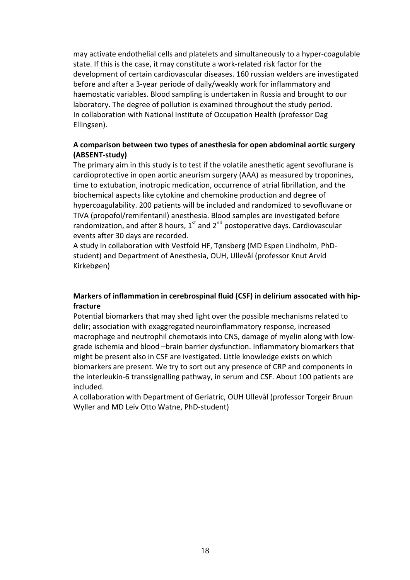may activate endothelial cells and platelets and simultaneously to a hyper‐coagulable state. If this is the case, it may constitute a work‐related risk factor for the development of certain cardiovascular diseases. 160 russian welders are investigated before and after a 3‐year periode of daily/weakly work for inflammatory and haemostatic variables. Blood sampling is undertaken in Russia and brought to our laboratory. The degree of pollution is examined throughout the study period. In collaboration with National Institute of Occupation Health (professor Dag Ellingsen).

## **A comparison between two types of anesthesia for open abdominal aortic surgery (ABSENT‐study)**

The primary aim in this study is to test if the volatile anesthetic agent sevoflurane is cardioprotective in open aortic aneurism surgery (AAA) as measured by troponines, time to extubation, inotropic medication, occurrence of atrial fibrillation, and the biochemical aspects like cytokine and chemokine production and degree of hypercoagulability. 200 patients will be included and randomized to sevofluvane or TIVA (propofol/remifentanil) anesthesia. Blood samples are investigated before randomization, and after 8 hours,  $1<sup>st</sup>$  and  $2<sup>nd</sup>$  postoperative days. Cardiovascular events after 30 days are recorded.

A study in collaboration with Vestfold HF, Tønsberg (MD Espen Lindholm, PhD‐ student) and Department of Anesthesia, OUH, Ullevål (professor Knut Arvid Kirkebøen)

## **Markers of inflammation in cerebrospinal fluid (CSF) in delirium assocated with hip‐ fracture**

Potential biomarkers that may shed light over the possible mechanisms related to delir; association with exaggregated neuroinflammatory response, increased macrophage and neutrophil chemotaxis into CNS, damage of myelin along with low‐ grade ischemia and blood –brain barrier dysfunction. Inflammatory biomarkers that might be present also in CSF are ivestigated. Little knowledge exists on which biomarkers are present. We try to sort out any presence of CRP and components in the interleukin‐6 transsignalling pathway, in serum and CSF. About 100 patients are included.

A collaboration with Department of Geriatric, OUH Ullevål (professor Torgeir Bruun Wyller and MD Leiv Otto Watne, PhD‐student)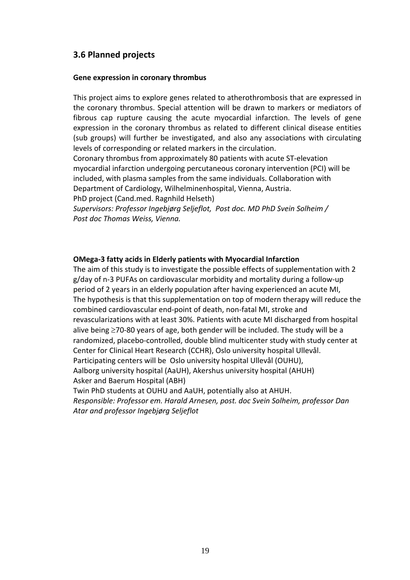# **3.6 Planned projects**

#### **Gene expression in coronary thrombus**

This project aims to explore genes related to atherothrombosis that are expressed in the coronary thrombus. Special attention will be drawn to markers or mediators of fibrous cap rupture causing the acute myocardial infarction. The levels of gene expression in the coronary thrombus as related to different clinical disease entities (sub groups) will further be investigated, and also any associations with circulating levels of corresponding or related markers in the circulation.

Coronary thrombus from approximately 80 patients with acute ST‐elevation myocardial infarction undergoing percutaneous coronary intervention (PCI) will be included, with plasma samples from the same individuals. Collaboration with Department of Cardiology, Wilhelminenhospital, Vienna, Austria.

PhD project (Cand.med. Ragnhild Helseth)

*Supervisors: Professor Ingebjørg Seljeflot, Post doc. MD PhD Svein Solheim / Post doc Thomas Weiss, Vienna.*

#### **OMega‐3 fatty acids in Elderly patients with Myocardial Infarction**

The aim of this study is to investigate the possible effects of supplementation with 2 g/day of n‐3 PUFAs on cardiovascular morbidity and mortality during a follow‐up period of 2 years in an elderly population after having experienced an acute MI, The hypothesis is that this supplementation on top of modern therapy will reduce the combined cardiovascular end‐point of death, non‐fatal MI, stroke and revascularizations with at least 30%. Patients with acute MI discharged from hospital alive being ≥70‐80 years of age, both gender will be included. The study will be a randomized, placebo-controlled, double blind multicenter study with study center at Center for Clinical Heart Research (CCHR), Oslo university hospital Ullevål. Participating centers will be Oslo university hospital Ullevål (OUHU), Aalborg university hospital (AaUH), Akershus university hospital (AHUH) Asker and Baerum Hospital (ABH) Twin PhD students at OUHU and AaUH, potentially also at AHUH. *Responsible: Professor em. Harald Arnesen, post. doc Svein Solheim, professor Dan Atar and professor Ingebjørg Seljeflot*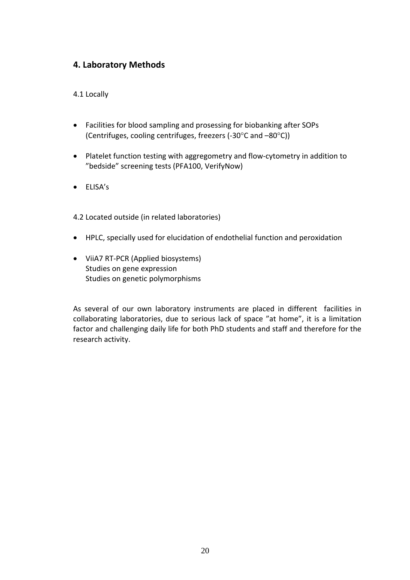# **4. Laboratory Methods**

4.1 Locally

- Facilities for blood sampling and prosessing for biobanking after SOPs (Centrifuges, cooling centrifuges, freezers (‐30°C and –80°C))
- Platelet function testing with aggregometry and flow‐cytometry in addition to "bedside" screening tests (PFA100, VerifyNow)
- ELISA's

4.2 Located outside (in related laboratories)

- HPLC, specially used for elucidation of endothelial function and peroxidation
- ViiA7 RT‐PCR (Applied biosystems) Studies on gene expression Studies on genetic polymorphisms

As several of our own laboratory instruments are placed in different facilities in collaborating laboratories, due to serious lack of space "at home", it is a limitation factor and challenging daily life for both PhD students and staff and therefore for the research activity.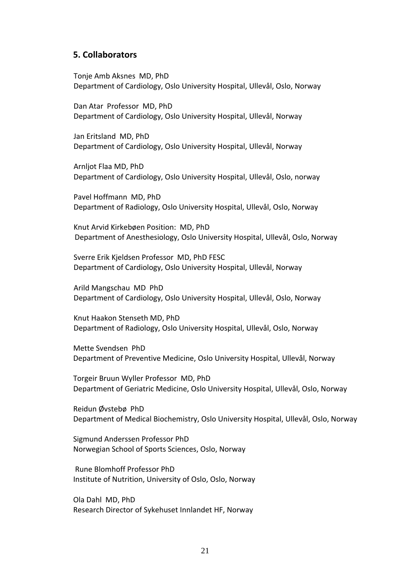#### **5. Collaborators**

Tonje Amb Aksnes MD, PhD Department of Cardiology, Oslo University Hospital, Ullevål, Oslo, Norway

Dan Atar Professor MD, PhD Department of Cardiology, Oslo University Hospital, Ullevål, Norway

 Jan Eritsland MD, PhD Department of Cardiology, Oslo University Hospital, Ullevål, Norway

Arnljot Flaa MD, PhD Department of Cardiology, Oslo University Hospital, Ullevål, Oslo, norway

Pavel Hoffmann MD, PhD Department of Radiology, Oslo University Hospital, Ullevål, Oslo, Norway

 Knut Arvid Kirkebøen Position: MD, PhD Department of Anesthesiology, Oslo University Hospital, Ullevål, Oslo, Norway

 Sverre Erik Kjeldsen Professor MD, PhD FESC Department of Cardiology, Oslo University Hospital, Ullevål, Norway

 Arild Mangschau MD PhD Department of Cardiology, Oslo University Hospital, Ullevål, Oslo, Norway

Knut Haakon Stenseth MD, PhD Department of Radiology, Oslo University Hospital, Ullevål, Oslo, Norway

Mette Svendsen PhD Department of Preventive Medicine, Oslo University Hospital, Ullevål, Norway

 Torgeir Bruun Wyller Professor MD, PhD Department of Geriatric Medicine, Oslo University Hospital, Ullevål, Oslo, Norway

 Reidun Øvstebø PhD Department of Medical Biochemistry, Oslo University Hospital, Ullevål, Oslo, Norway

 Sigmund Anderssen Professor PhD Norwegian School of Sports Sciences, Oslo, Norway

Rune Blomhoff Professor PhD Institute of Nutrition, University of Oslo, Oslo, Norway

 Ola Dahl MD, PhD Research Director of Sykehuset Innlandet HF, Norway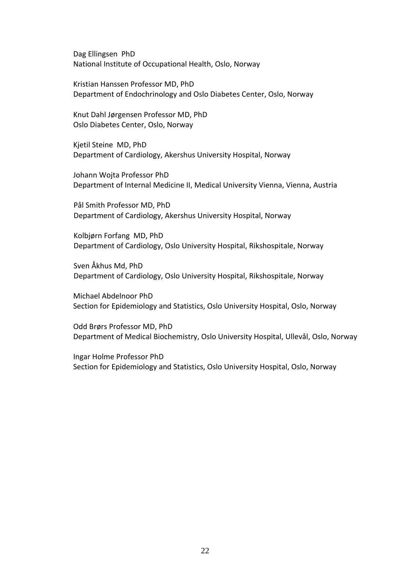Dag Ellingsen PhD National Institute of Occupational Health, Oslo, Norway

 Kristian Hanssen Professor MD, PhD Department of Endochrinology and Oslo Diabetes Center, Oslo, Norway

 Knut Dahl Jørgensen Professor MD, PhD Oslo Diabetes Center, Oslo, Norway

 Kjetil Steine MD, PhD Department of Cardiology, Akershus University Hospital, Norway

 Johann Wojta Professor PhD Department of Internal Medicine II, Medical University Vienna, Vienna, Austria

 Pål Smith Professor MD, PhD Department of Cardiology, Akershus University Hospital, Norway

Kolbjørn Forfang MD, PhD Department of Cardiology, Oslo University Hospital, Rikshospitale, Norway

Sven Åkhus Md, PhD Department of Cardiology, Oslo University Hospital, Rikshospitale, Norway

Michael Abdelnoor PhD Section for Epidemiology and Statistics, Oslo University Hospital, Oslo, Norway

Odd Brørs Professor MD, PhD Department of Medical Biochemistry, Oslo University Hospital, Ullevål, Oslo, Norway

Ingar Holme Professor PhD Section for Epidemiology and Statistics, Oslo University Hospital, Oslo, Norway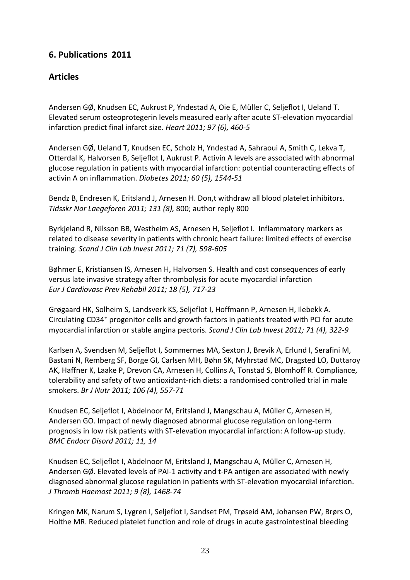# **6. Publications 2011**

# **Articles**

[Andersen](http://www.publika.no/?page=scientist&authorid=10392) GØ, [Knudsen](http://www.publika.no/?page=scientist&authorid=11223) EC, [Aukrust](http://www.publika.no/?page=scientist&authorid=6681) P, [Yndestad](http://www.publika.no/?page=scientist&authorid=6678) A, [Oie](http://www.publika.no/?page=scientist&authorid=6998) E, Müller C, [Seljeflot](http://www.publika.no/?page=scientist&authorid=5315) I, [Ueland](http://www.publika.no/?page=scientist&authorid=6672) T.<sup>T</sup> Elevated serum [osteoprotegerin](http://dx.doi.org/10.1136/hrt.2010.206714) levels measured early after acute ST‐elevation myocardial [infarction](http://dx.doi.org/10.1136/hrt.2010.206714) predict final infarct size. *Heart 2011; 97 (6), 460‐5*

[Andersen](http://www.publika.no/?page=scientist&authorid=10392) GØ, [Ueland](http://www.publika.no/?page=scientist&authorid=6672) T, [Knudsen](http://www.publika.no/?page=scientist&authorid=11223) EC, [Scholz](http://www.publika.no/?page=scientist&authorid=7374) H, [Yndestad](http://www.publika.no/?page=scientist&authorid=6678) A, Sahraoui A, [Smith](http://www.publika.no/?page=scientist&authorid=6668) C, [Lekva](http://www.publika.no/?page=scientist&authorid=10702) T, [Otterdal](http://www.publika.no/?page=scientist&authorid=7138) K, [Halvorsen](http://www.publika.no/?page=scientist&authorid=6705) B, [Seljeflot](http://www.publika.no/?page=scientist&authorid=5315) I, [Aukrust](http://www.publika.no/?page=scientist&authorid=6681) P. Activin A levels are [associated](http://dx.doi.org/10.2337/db10-1493) with abnormal glucose regulation in patients with myocardial infarction: potential [counteracting](http://dx.doi.org/10.2337/db10-1493) effects of activin A on [inflammation](http://dx.doi.org/10.2337/db10-1493). *Diabetes 2011; 60 (5), 1544‐51*

[Bendz](http://www.publika.no/?page=scientist&authorid=7027) B, [Endresen](http://www.publika.no/?page=scientist&authorid=7031) K, [Eritsland](http://www.publika.no/?page=scientist&authorid=10236) J, [Arnesen](http://www.publika.no/?page=scientist&authorid=10162) H. Don,t withdraw all blood platelet inhibitors. *Tidsskr Nor Laegeforen 2011; 131 (8),* 800; author reply 800

[Byrkjeland](http://www.publika.no/?page=scientist&authorid=11221) R, [Nilsson](http://www.publika.no/?page=scientist&authorid=11070) BB, Westheim AS, [Arnesen](http://www.publika.no/?page=scientist&authorid=10162) H, [Seljeflot](http://www.publika.no/?page=scientist&authorid=5315) I. [Inflammatory](http://dx.doi.org/10.3109/00365513.2011.598943) markers as related to disease severity in patients with chronic heart failure: limited effects of [exercise](http://dx.doi.org/10.3109/00365513.2011.598943) [training.](http://dx.doi.org/10.3109/00365513.2011.598943) *Scand J Clin Lab Invest 2011; 71 (7), 598‐605*

[Bøhmer](http://www.publika.no/?page=scientist&authorid=10335) E, Kristiansen IS, [Arnesen](http://www.publika.no/?page=scientist&authorid=10162) H, [Halvorsen](http://www.publika.no/?page=scientist&authorid=10179) S. Health and cost [consequences](http://dx.doi.org/10.1177/1741826711398425) of early versus late invasive strategy after [thrombolysis](http://dx.doi.org/10.1177/1741826711398425) for acute myocardial infarction *Eur J Cardiovasc Prev Rehabil 2011; 18 (5), 717‐23*

[Grøgaard](http://www.publika.no/?page=scientist&authorid=10365) HK, [Solheim](http://www.publika.no/?page=scientist&authorid=10322) S, [Landsverk](http://www.publika.no/?page=scientist&authorid=11276) KS, [Seljeflot](http://www.publika.no/?page=scientist&authorid=5315) I, [Hoffmann](http://www.publika.no/?page=scientist&authorid=10299) P, [Arnesen](http://www.publika.no/?page=scientist&authorid=10162) H, [Ilebekk](http://www.publika.no/?page=scientist&authorid=10597) A. Circulating CD34⁺ [progenitor](http://dx.doi.org/10.3109/00365513.2011.565367) cells and growth factors in patients treated with PCI for acute [myocardial](http://dx.doi.org/10.3109/00365513.2011.565367) infarction or stable angina pectoris. *Scand J Clin Lab Invest 2011; 71 (4), 322‐9*

Karlsen A, [Svendsen](http://www.publika.no/?page=scientist&authorid=10252) M, [Seljeflot](http://www.publika.no/?page=scientist&authorid=5315) I, Sommernes MA, Sexton J, Brevik A, Erlund I, Serafini M, Bastani N, Remberg SF, Borge GI, Carlsen MH, Bøhn SK, Myhrstad MC, Dragsted LO, Duttaroy AK, Haffner K, Laake P, Drevon CA, [Arnesen](http://www.publika.no/?page=scientist&authorid=10162) H, Collins A, [Tonstad](http://www.publika.no/?page=scientist&authorid=10076) S, Blomhoff R. [Compliance,](http://dx.doi.org/10.1017/S0007114511000353) tolerability and safety of two antioxidant‐rich diets: a [randomised](http://dx.doi.org/10.1017/S0007114511000353) controlled trial in male [smokers.](http://dx.doi.org/10.1017/S0007114511000353) *Br J Nutr 2011; 106 (4), 557‐71*

[Knudsen](http://www.publika.no/?page=scientist&authorid=11223) EC, [Seljeflot](http://www.publika.no/?page=scientist&authorid=5315) I, [Abdelnoor](http://www.publika.no/?page=scientist&authorid=5311) M, [Eritsland](http://www.publika.no/?page=scientist&authorid=10236) J, [Mangschau](http://www.publika.no/?page=scientist&authorid=10235) A, Müller C, [Arnesen](http://www.publika.no/?page=scientist&authorid=10162) H, [Andersen](http://www.publika.no/?page=scientist&authorid=10392) GO. Impact of newly diagnosed abnormal glucose [regulation](http://dx.doi.org/10.1186/1472-6823-11-14) on long‐term prognosis in low risk patients with ST‐elevation [myocardial](http://dx.doi.org/10.1186/1472-6823-11-14) infarction: A follow‐up study. *BMC Endocr Disord 2011; 11, 14*

[Knudsen](http://www.publika.no/?page=scientist&authorid=11223) EC, [Seljeflot](http://www.publika.no/?page=scientist&authorid=5315) I, [Abdelnoor](http://www.publika.no/?page=scientist&authorid=5311) M, [Eritsland](http://www.publika.no/?page=scientist&authorid=10236) J, [Mangschau](http://www.publika.no/?page=scientist&authorid=10235) A, Müller C, [Arnesen](http://www.publika.no/?page=scientist&authorid=10162) H, [Andersen](http://www.publika.no/?page=scientist&authorid=10392) GØ. Elevated levels of PAI-1 activity and t-PA antigen are [associated](http://dx.doi.org/10.1111/j.1538-7836.2011.04377.x) with newly diagnosed abnormal glucose regulation in patients with ST‐elevation [myocardial](http://dx.doi.org/10.1111/j.1538-7836.2011.04377.x) infarction. *J Thromb Haemost 2011; 9 (8), 1468‐74*

[Kringen](http://www.publika.no/?page=scientist&authorid=6637) MK, [Narum](http://www.publika.no/?page=scientist&authorid=10989) S, [Lygren](http://www.publika.no/?page=scientist&authorid=10051) I, [Seljeflot](http://www.publika.no/?page=scientist&authorid=5315) I, [Sandset](http://www.publika.no/?page=scientist&authorid=10080) PM, [Trøseid](http://www.publika.no/?page=scientist&authorid=11279) AM, [Johansen](http://www.publika.no/?page=scientist&authorid=10991) PW, [Brørs](http://www.publika.no/?page=scientist&authorid=10246) O, [Holthe](http://www.publika.no/?page=scientist&authorid=5322) MR. Reduced platelet function and role of drugs in acute [gastrointestinal](http://dx.doi.org/10.1111/j.1742-7843.2010.00643.x) bleeding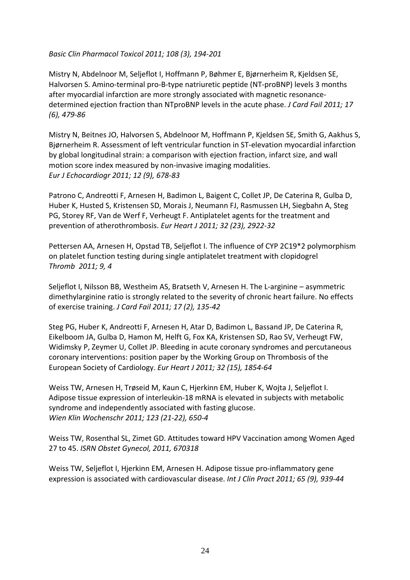#### *Basic Clin Pharmacol Toxicol 2011; 108 (3), 194‐201*

Mistry N, [Abdelnoor](http://www.publika.no/?page=scientist&authorid=5311) M, [Seljeflot](http://www.publika.no/?page=scientist&authorid=5315) I, [Hoffmann](http://www.publika.no/?page=scientist&authorid=10299) P, [Bøhmer](http://www.publika.no/?page=scientist&authorid=10335) E, [Bjørnerheim](http://www.publika.no/?page=scientist&authorid=10144) R, [Kjeldsen](http://www.publika.no/?page=scientist&authorid=10091) SE, [Halvorsen](http://www.publika.no/?page=scientist&authorid=10179) S. Amino-terminal pro-B-type [natriuretic](http://dx.doi.org/10.1016/j.cardfail.2011.02.006) peptide (NT-proBNP) levels 3 months after [myocardial](http://dx.doi.org/10.1016/j.cardfail.2011.02.006) infarction are more strongly associated with magnetic resonance‐ [determined](http://dx.doi.org/10.1016/j.cardfail.2011.02.006) ejection fraction than NTproBNP levels in the acute phase. *J Card Fail 2011; 17 (6), 479‐86*

Mistry N, [Beitnes](http://www.publika.no/?page=scientist&authorid=5289) JO, [Halvorsen](http://www.publika.no/?page=scientist&authorid=10179) S, [Abdelnoor](http://www.publika.no/?page=scientist&authorid=5311) M, [Hoffmann](http://www.publika.no/?page=scientist&authorid=10299) P, [Kjeldsen](http://www.publika.no/?page=scientist&authorid=10091) SE, [Smith](http://www.publika.no/?page=scientist&authorid=10121) G, [Aakhus](http://www.publika.no/?page=scientist&authorid=7000) S, [Bjørnerheim](http://www.publika.no/?page=scientist&authorid=10144) R. [Assessment](http://dx.doi.org/10.1093/ejechocard/jer113) of left ventricular function in ST‐elevation myocardial infarction by global [longitudinal](http://dx.doi.org/10.1093/ejechocard/jer113) strain: a comparison with ejection fraction, infarct size, and wall motion score index measured by non‐invasive imaging [modalities](http://dx.doi.org/10.1093/ejechocard/jer113). *Eur J Echocardiogr 2011; 12 (9), 678‐83*

Patrono C, Andreotti F, [Arnesen](http://www.publika.no/?page=scientist&authorid=10162) H, Badimon L, Baigent C, Collet JP, De Caterina R, Gulba D, Huber K, Husted S, Kristensen SD, Morais J, Neumann FJ, Rasmussen LH, Siegbahn A, Steg PG, Storey RF, Van de Werf F, Verheugt F. [Antiplatelet](http://dx.doi.org/10.1093/eurheartj/ehr373) agents for the treatment and prevention of [atherothrombosis.](http://dx.doi.org/10.1093/eurheartj/ehr373) *Eur Heart J 2011; 32 (23), 2922‐32*

[Pettersen](http://www.publika.no/?page=scientist&authorid=10401) AA, [Arnesen](http://www.publika.no/?page=scientist&authorid=10162) H, [Opstad](http://www.publika.no/?page=scientist&authorid=11229) TB, [Seljeflot](http://www.publika.no/?page=scientist&authorid=5315) I. The influence of CYP 2C19\*2 [polymorphism](http://dx.doi.org/10.1186/1477-9560-9-4) on platelet function testing during single [antiplatelet](http://dx.doi.org/10.1186/1477-9560-9-4) treatment with clopidogrel *Thromb 2011; 9, 4*

[Seljeflot](http://www.publika.no/?page=scientist&authorid=5315) I, [Nilsson](http://www.publika.no/?page=scientist&authorid=11070) BB, Westheim AS, [Bratseth](http://www.publika.no/?page=scientist&authorid=11227) V, [Arnesen](http://www.publika.no/?page=scientist&authorid=10162) H. The L-arginine – asymmetric dimethylarginine ratio is strongly related to the severity of chronic heart failure. No effects of exercise training. *J Card Fail 2011; 17 (2), 135‐42*

Steg PG, Huber K, Andreotti F, [Arnesen](http://www.publika.no/?page=scientist&authorid=10162) H, [Atar](http://www.publika.no/?page=scientist&authorid=10315) D, Badimon L, Bassand JP, De Caterina R, Eikelboom JA, Gulba D, Hamon M, Helft G, Fox KA, Kristensen SD, Rao SV, Verheugt FW, Widimsky P, Zeymer U, Collet JP. Bleeding in acute coronary syndromes and [percutaneous](http://dx.doi.org/10.1093/eurheartj/ehr204) coronary [interventions:](http://dx.doi.org/10.1093/eurheartj/ehr204) position paper by the Working Group on Thrombosis of the European Society of [Cardiology.](http://dx.doi.org/10.1093/eurheartj/ehr204) *Eur Heart J 2011; 32 (15), 1854‐64*

[Weiss](http://www.publika.no/?page=scientist&authorid=10937) TW, [Arnesen](http://www.publika.no/?page=scientist&authorid=10162) H, [Trøseid](http://www.publika.no/?page=scientist&authorid=10334) M, Kaun C, [Hjerkinn](http://www.publika.no/?page=scientist&authorid=10159) EM, Huber K, Wojta J, [Seljeflot](http://www.publika.no/?page=scientist&authorid=5315) I. Adipose tissue expression of [interleukin](http://dx.doi.org/10.1007/s00508-011-0028-6)‐18 mRNA is elevated in subjects with metabolic syndrome and [independently](http://dx.doi.org/10.1007/s00508-011-0028-6) associated with fasting glucose. *Wien Klin Wochenschr 2011; 123 (21‐22), 650‐4*

[Weiss](http://www.publika.no/?page=scientist&authorid=10937) TW, Rosenthal SL, Zimet GD. Attitudes toward HPV [Vaccination](http://dx.doi.org/10.5402/2011/670318) among Women Aged 27 to [45.](http://dx.doi.org/10.5402/2011/670318) *ISRN Obstet Gynecol, 2011, 670318*

[Weiss](http://www.publika.no/?page=scientist&authorid=10937) TW, [Seljeflot](http://www.publika.no/?page=scientist&authorid=5315) I, [Hjerkinn](http://www.publika.no/?page=scientist&authorid=10159) EM, [Arnesen](http://www.publika.no/?page=scientist&authorid=10162) H. Adipose tissue pro-[inflammatory](http://dx.doi.org/10.1111/j.1742-1241.2011.02717.x) gene expression is associated with [cardiovascular](http://dx.doi.org/10.1111/j.1742-1241.2011.02717.x) disease. *Int J Clin Pract 2011; 65 (9), 939‐44*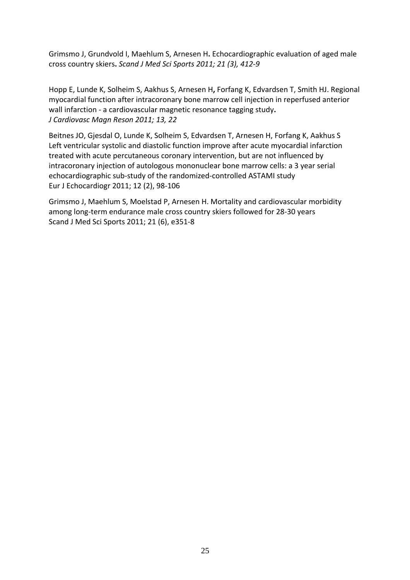Grimsmo J, [Grundvold](http://www.publika.no/?page=scientist&authorid=10240) I, Maehlum S, [Arnesen](http://www.publika.no/?page=scientist&authorid=10162) H**.** [Echocardiographic](http://dx.doi.org/10.1111/j.1600-0838.2009.01054.x) evaluation of aged male cross [country](http://dx.doi.org/10.1111/j.1600-0838.2009.01054.x) skiers**.** *Scand J Med Sci Sports 2011; 21 (3), 412‐9*

[Hopp](http://www.publika.no/?page=scientist&authorid=6454) E, [Lunde](http://www.publika.no/?page=scientist&authorid=7046) K, [Solheim](http://www.publika.no/?page=scientist&authorid=10322) S, [Aakhus](http://www.publika.no/?page=scientist&authorid=7000) S, [Arnesen](http://www.publika.no/?page=scientist&authorid=10162) H, [Forfang](http://www.publika.no/?page=scientist&authorid=7033) K, [Edvardsen](http://www.publika.no/?page=scientist&authorid=7030) T, [Smith](http://www.publika.no/?page=scientist&authorid=6472) HJ. [Regional](http://dx.doi.org/10.1186/1532-429X-13-22) myocardial function after [intracoronary](http://dx.doi.org/10.1186/1532-429X-13-22) bone marrow cell injection in reperfused anterior wall infarction ‐ a [cardiovascular](http://dx.doi.org/10.1186/1532-429X-13-22) magnetic resonance tagging study**.** *J Cardiovasc Magn Reson 2011; 13, 22*

[Beitnes](http://www.publika.no/?page=scientist&authorid=5289) JO, [Gjesdal](http://www.publika.no/?page=scientist&authorid=7034) O, [Lunde](http://www.publika.no/?page=scientist&authorid=7046) K, [Solheim](http://www.publika.no/?page=scientist&authorid=10322) S, [Edvardsen](http://www.publika.no/?page=scientist&authorid=7030) T, [Arnesen](http://www.publika.no/?page=scientist&authorid=10162) H, [Forfang](http://www.publika.no/?page=scientist&authorid=7033) K, [Aakhus](http://www.publika.no/?page=scientist&authorid=7000) S Left ventricular systolic and diastolic function improve after acute [myocardial](http://dx.doi.org/10.1093/ejechocard/jeq116) infarction treated with acute [percutaneous](http://dx.doi.org/10.1093/ejechocard/jeq116) coronary intervention, but are not influenced by [intracoronary](http://dx.doi.org/10.1093/ejechocard/jeq116) injection of autologous mononuclear bone marrow cells: a 3 year serial [echocardiographic](http://dx.doi.org/10.1093/ejechocard/jeq116) sub‐study of the randomized‐controlled ASTAMI study Eur J Echocardiogr 2011; 12 (2), 98‐106

Grimsmo J, Maehlum S, Moelstad P, [Arnesen](http://www.publika.no/?page=scientist&authorid=10162) H. Mortality and [cardiovascular](http://dx.doi.org/10.1111/j.1600-0838.2011.01307.x) morbidity among long‐term [endurance](http://dx.doi.org/10.1111/j.1600-0838.2011.01307.x) male cross country skiers followed for 28‐30 years Scand J Med Sci Sports 2011; 21 (6), e351‐8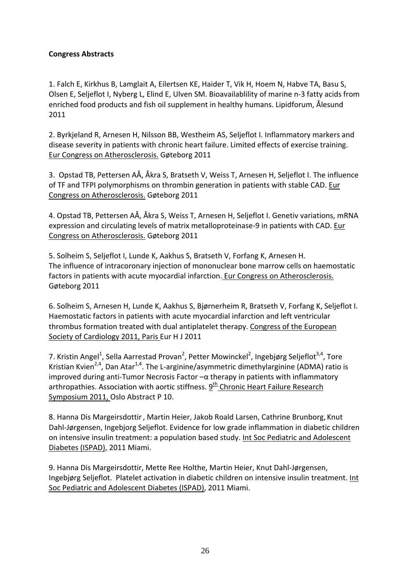## **Congress Abstracts**

1. Falch E, Kirkhus B, Lamglait A, Eilertsen KE, Haider T, Vik H, Hoem N, Habve TA, Basu S, Olsen E, Seljeflot I, Nyberg L, Elind E, Ulven SM. Bioavailablility of marine n‐3 fatty acids from enriched food products and fish oil supplement in healthy humans. Lipidforum, Ålesund 2011

2. Byrkjeland R, Arnesen H, Nilsson BB, Westheim AS, Seljeflot I. Inflammatory markers and disease severity in patients with chronic heart failure. Limited effects of exercise training. Eur Congress on Atherosclerosis. Gøteborg 2011

3. Opstad TB, Pettersen AÅ, Åkra S, Bratseth V, Weiss T, Arnesen H, Seljeflot I. The influence of TF and TFPI polymorphisms on thrombin generation in patients with stable CAD. Eur Congress on Atherosclerosis. Gøteborg 2011

4. Opstad TB, Pettersen AÅ, Åkra S, Weiss T, Arnesen H, Seljeflot I. Genetiv variations, mRNA expression and circulating levels of matrix metalloproteinase‐9 in patients with CAD. Eur Congress on Atherosclerosis. Gøteborg 2011

5. Solheim S, Seljeflot I, Lunde K, Aakhus S, Bratseth V, Forfang K, Arnesen H. The influence of intracoronary injection of mononuclear bone marrow cells on haemostatic factors in patients with acute myocardial infarction. Eur Congress on Atherosclerosis. Gøteborg 2011

6. Solheim S, Arnesen H, Lunde K, Aakhus S, Bjørnerheim R, Bratseth V, Forfang K, Seljeflot I. Haemostatic factors in patients with acute myocardial infarction and left ventricular thrombus formation treated with dual antiplatelet therapy. Congress of the European Society of Cardiology 2011, Paris Eur H J 2011

7. Kristin Angel<sup>1</sup>, Sella Aarrestad Provan<sup>2</sup>, Petter Mowinckel<sup>2</sup>, Ingebjørg Seljeflot<sup>3,4</sup>, Tore Kristian Kvien<sup>2,4</sup>, Dan Atar<sup>1,4</sup>. The L-arginine/asymmetric dimethylarginine (ADMA) ratio is improved during anti‐Tumor Necrosis Factor –α therapy in patients with inflammatory arthropathies. Association with aortic stiffness.  $9<sup>th</sup>$  Chronic Heart Failure Research Symposium 2011, Oslo Abstract P 10.

8. Hanna Dis Margeirsdottir, Martin Heier, Jakob Roald Larsen, Cathrine Brunborg, Knut Dahl‐Jørgensen, Ingebjorg Seljeflot. Evidence for low grade inflammation in diabetic children on intensive insulin treatment: a population based study. Int Soc Pediatric and Adolescent Diabetes (ISPAD), 2011 Miami.

9. Hanna Dis Margeirsdottir, Mette Ree Holthe, Martin Heier, Knut Dahl‐Jørgensen, Ingebjørg Seljeflot. Platelet activation in diabetic children on intensive insulin treatment. Int Soc Pediatric and Adolescent Diabetes (ISPAD), 2011 Miami.